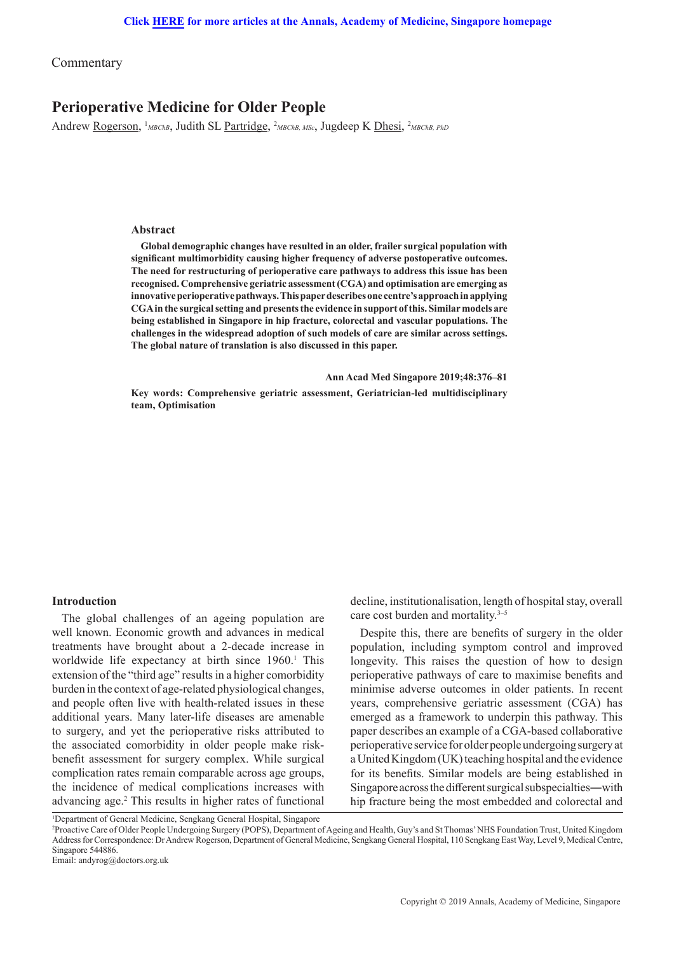Commentary

# **Perioperative Medicine for Older People**

Andrew <u>Rogerson</u>, <sup>1</sup>мвскв, Judith SL Partridge, <sup>2</sup>мвскв, мsc, Jugdeep K Dhesi, <sup>2</sup>мвскв, РкD

### **Abstract**

**Global demographic changes have resulted in an older, frailer surgical population with significant multimorbidity causing higher frequency of adverse postoperative outcomes. The need for restructuring of perioperative care pathways to address this issue has been recognised. Comprehensive geriatric assessment (CGA) and optimisation are emerging as innovative perioperative pathways. This paper describes one centre's approach in applying CGA in the surgical setting and presents the evidence in support of this. Similar models are being established in Singapore in hip fracture, colorectal and vascular populations. The challenges in the widespread adoption of such models of care are similar across settings. The global nature of translation is also discussed in this paper.** 

 **Ann Acad Med Singapore 2019;48:376–81**

**Key words: Comprehensive geriatric assessment, Geriatrician-led multidisciplinary team, Optimisation**

## **Introduction**

The global challenges of an ageing population are well known. Economic growth and advances in medical treatments have brought about a 2-decade increase in worldwide life expectancy at birth since 1960.<sup>1</sup> This extension of the "third age" results in a higher comorbidity burden in the context of age-related physiological changes, and people often live with health-related issues in these additional years. Many later-life diseases are amenable to surgery, and yet the perioperative risks attributed to the associated comorbidity in older people make riskbenefit assessment for surgery complex. While surgical complication rates remain comparable across age groups, the incidence of medical complications increases with advancing age.2 This results in higher rates of functional decline, institutionalisation, length of hospital stay, overall care cost burden and mortality.<sup>3-5</sup>

Despite this, there are benefits of surgery in the older population, including symptom control and improved longevity. This raises the question of how to design perioperative pathways of care to maximise benefits and minimise adverse outcomes in older patients. In recent years, comprehensive geriatric assessment (CGA) has emerged as a framework to underpin this pathway. This paper describes an example of a CGA-based collaborative perioperative service for older people undergoing surgery at a United Kingdom (UK) teaching hospital and the evidence for its benefits. Similar models are being established in Singapore across the different surgical subspecialties―with hip fracture being the most embedded and colorectal and

<sup>&</sup>lt;sup>1</sup>Department of General Medicine, Sengkang General Hospital, Singapore

<sup>2</sup> Proactive Care of Older People Undergoing Surgery (POPS), Department of Ageing and Health, Guy's and St Thomas' NHS Foundation Trust, United Kingdom Address for Correspondence: Dr Andrew Rogerson, Department of General Medicine, Sengkang General Hospital, 110 Sengkang East Way, Level 9, Medical Centre, Singapore 544886.

Email: andyrog@doctors.org.uk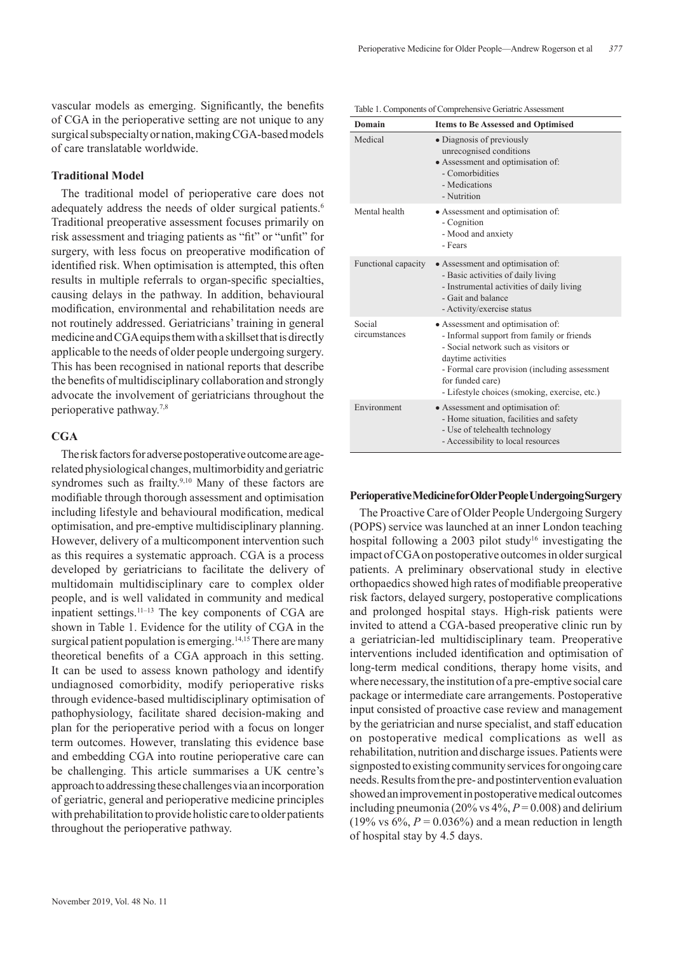vascular models as emerging. Significantly, the benefits of CGA in the perioperative setting are not unique to any surgical subspecialty or nation, making CGA-based models of care translatable worldwide.

## **Traditional Model**

The traditional model of perioperative care does not adequately address the needs of older surgical patients.<sup>6</sup> Traditional preoperative assessment focuses primarily on risk assessment and triaging patients as "fit" or "unfit" for surgery, with less focus on preoperative modification of identified risk. When optimisation is attempted, this often results in multiple referrals to organ-specific specialties, causing delays in the pathway. In addition, behavioural modification, environmental and rehabilitation needs are not routinely addressed. Geriatricians' training in general medicine and CGA equips them with a skillset that is directly applicable to the needs of older people undergoing surgery. This has been recognised in national reports that describe the benefits of multidisciplinary collaboration and strongly advocate the involvement of geriatricians throughout the perioperative pathway.7,8

## **CGA**

The risk factors for adverse postoperative outcome are agerelated physiological changes, multimorbidity and geriatric syndromes such as frailty.<sup>9,10</sup> Many of these factors are modifiable through thorough assessment and optimisation including lifestyle and behavioural modification, medical optimisation, and pre-emptive multidisciplinary planning. However, delivery of a multicomponent intervention such as this requires a systematic approach. CGA is a process developed by geriatricians to facilitate the delivery of multidomain multidisciplinary care to complex older people, and is well validated in community and medical inpatient settings. $11-13$  The key components of CGA are shown in Table 1. Evidence for the utility of CGA in the surgical patient population is emerging.<sup>14,15</sup> There are many theoretical benefits of a CGA approach in this setting. It can be used to assess known pathology and identify undiagnosed comorbidity, modify perioperative risks through evidence-based multidisciplinary optimisation of pathophysiology, facilitate shared decision-making and plan for the perioperative period with a focus on longer term outcomes. However, translating this evidence base and embedding CGA into routine perioperative care can be challenging. This article summarises a UK centre's approach to addressing these challenges via an incorporation of geriatric, general and perioperative medicine principles with prehabilitation to provide holistic care to older patients throughout the perioperative pathway.

| Domain                  | <b>Items to Be Assessed and Optimised</b>                                                                                                                                                                                                                          |  |  |  |
|-------------------------|--------------------------------------------------------------------------------------------------------------------------------------------------------------------------------------------------------------------------------------------------------------------|--|--|--|
| Medical                 | • Diagnosis of previously<br>unrecognised conditions<br>• Assessment and optimisation of:<br>- Comorbidities<br>- Medications<br>- Nutrition                                                                                                                       |  |  |  |
| Mental health           | • Assessment and optimisation of:<br>- Cognition<br>- Mood and anxiety<br>- Fears                                                                                                                                                                                  |  |  |  |
| Functional capacity     | • Assessment and optimisation of:<br>- Basic activities of daily living<br>- Instrumental activities of daily living<br>- Gait and balance<br>- Activity/exercise status                                                                                           |  |  |  |
| Social<br>circumstances | • Assessment and optimisation of:<br>- Informal support from family or friends<br>- Social network such as visitors or<br>daytime activities<br>- Formal care provision (including assessment<br>for funded care)<br>- Lifestyle choices (smoking, exercise, etc.) |  |  |  |
| Environment             | • Assessment and optimisation of:<br>- Home situation, facilities and safety<br>- Use of telehealth technology<br>- Accessibility to local resources                                                                                                               |  |  |  |

#### Table 1. Components of Comprehensive Geriatric Assessment

#### **Perioperative Medicine for Older People Undergoing Surgery**

The Proactive Care of Older People Undergoing Surgery (POPS) service was launched at an inner London teaching hospital following a 2003 pilot study<sup>16</sup> investigating the impact of CGA on postoperative outcomes in older surgical patients. A preliminary observational study in elective orthopaedics showed high rates of modifiable preoperative risk factors, delayed surgery, postoperative complications and prolonged hospital stays. High-risk patients were invited to attend a CGA-based preoperative clinic run by a geriatrician-led multidisciplinary team. Preoperative interventions included identification and optimisation of long-term medical conditions, therapy home visits, and where necessary, the institution of a pre-emptive social care package or intermediate care arrangements. Postoperative input consisted of proactive case review and management by the geriatrician and nurse specialist, and staff education on postoperative medical complications as well as rehabilitation, nutrition and discharge issues. Patients were signposted to existing community services for ongoing care needs. Results from the pre- and postintervention evaluation showed an improvement in postoperative medical outcomes including pneumonia (20% vs  $4\%, P=0.008$ ) and delirium (19% vs  $6\%, P = 0.036\%$ ) and a mean reduction in length of hospital stay by 4.5 days.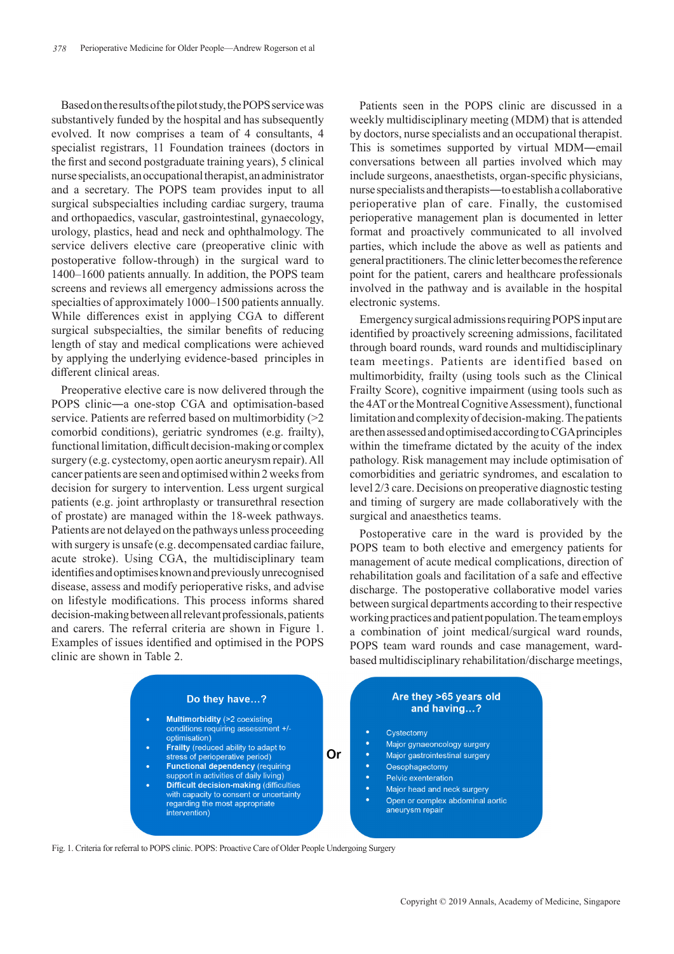Based on the results of the pilot study, the POPS service was substantively funded by the hospital and has subsequently evolved. It now comprises a team of 4 consultants, 4 specialist registrars, 11 Foundation trainees (doctors in the first and second postgraduate training years), 5 clinical nurse specialists, an occupational therapist, an administrator and a secretary. The POPS team provides input to all surgical subspecialties including cardiac surgery, trauma and orthopaedics, vascular, gastrointestinal, gynaecology, urology, plastics, head and neck and ophthalmology. The service delivers elective care (preoperative clinic with postoperative follow-through) in the surgical ward to 1400–1600 patients annually. In addition, the POPS team screens and reviews all emergency admissions across the specialties of approximately 1000–1500 patients annually. While differences exist in applying CGA to different surgical subspecialties, the similar benefits of reducing length of stay and medical complications were achieved by applying the underlying evidence-based principles in different clinical areas.

Preoperative elective care is now delivered through the POPS clinic―a one-stop CGA and optimisation-based service. Patients are referred based on multimorbidity (>2 comorbid conditions), geriatric syndromes (e.g. frailty), functional limitation, difficult decision-making or complex surgery (e.g. cystectomy, open aortic aneurysm repair). All cancer patients are seen and optimised within 2 weeks from decision for surgery to intervention. Less urgent surgical patients (e.g. joint arthroplasty or transurethral resection of prostate) are managed within the 18-week pathways. Patients are not delayed on the pathways unless proceeding with surgery is unsafe (e.g. decompensated cardiac failure, acute stroke). Using CGA, the multidisciplinary team identifies and optimises known and previously unrecognised disease, assess and modify perioperative risks, and advise on lifestyle modifications. This process informs shared decision-making between all relevant professionals, patients and carers. The referral criteria are shown in Figure 1. Examples of issues identified and optimised in the POPS clinic are shown in Table 2.

Patients seen in the POPS clinic are discussed in a weekly multidisciplinary meeting (MDM) that is attended by doctors, nurse specialists and an occupational therapist. This is sometimes supported by virtual MDM―email conversations between all parties involved which may include surgeons, anaesthetists, organ-specific physicians, nurse specialists and therapists―to establish a collaborative perioperative plan of care. Finally, the customised perioperative management plan is documented in letter format and proactively communicated to all involved parties, which include the above as well as patients and general practitioners. The clinic letter becomes the reference point for the patient, carers and healthcare professionals involved in the pathway and is available in the hospital electronic systems.

Emergency surgical admissions requiring POPS input are identified by proactively screening admissions, facilitated through board rounds, ward rounds and multidisciplinary team meetings. Patients are identified based on multimorbidity, frailty (using tools such as the Clinical Frailty Score), cognitive impairment (using tools such as the 4AT or the Montreal Cognitive Assessment), functional limitation and complexity of decision-making. The patients are then assessed and optimised according to CGA principles within the timeframe dictated by the acuity of the index pathology. Risk management may include optimisation of comorbidities and geriatric syndromes, and escalation to level 2/3 care. Decisions on preoperative diagnostic testing and timing of surgery are made collaboratively with the surgical and anaesthetics teams.

Postoperative care in the ward is provided by the POPS team to both elective and emergency patients for management of acute medical complications, direction of rehabilitation goals and facilitation of a safe and effective discharge. The postoperative collaborative model varies between surgical departments according to their respective working practices and patient population. The team employs a combination of joint medical/surgical ward rounds, POPS team ward rounds and case management, wardbased multidisciplinary rehabilitation/discharge meetings,



Fig. 1. Criteria for referral to POPS clinic. POPS: Proactive Care of Older People Undergoing Surgery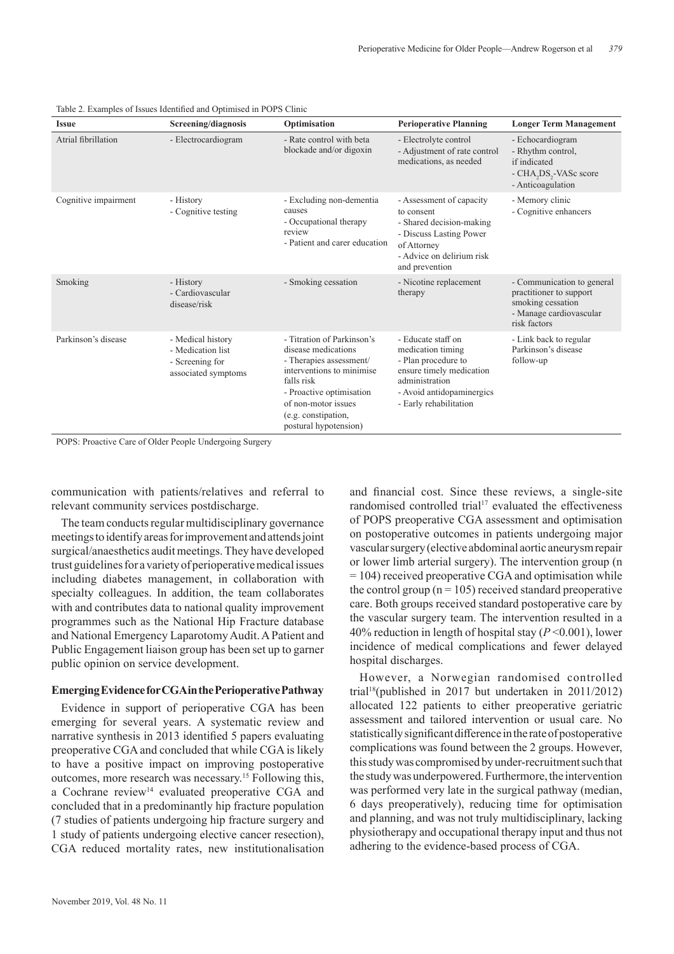| <b>Issue</b>         | Screening/diagnosis                                                              | Optimisation                                                                                                                                                                                                               | <b>Perioperative Planning</b>                                                                                                                                       | <b>Longer Term Management</b>                                                                                                |
|----------------------|----------------------------------------------------------------------------------|----------------------------------------------------------------------------------------------------------------------------------------------------------------------------------------------------------------------------|---------------------------------------------------------------------------------------------------------------------------------------------------------------------|------------------------------------------------------------------------------------------------------------------------------|
| Atrial fibrillation  | - Electrocardiogram                                                              | - Rate control with beta<br>blockade and/or digoxin                                                                                                                                                                        | - Electrolyte control<br>- Adjustment of rate control<br>medications, as needed                                                                                     | - Echocardiogram<br>- Rhythm control,<br>if indicated<br>- CHA <sub>2</sub> DS <sub>2</sub> -VASc score<br>- Anticoagulation |
| Cognitive impairment | - History<br>- Cognitive testing                                                 | - Excluding non-dementia<br>causes<br>- Occupational therapy<br>review<br>- Patient and carer education                                                                                                                    | - Assessment of capacity<br>to consent<br>- Shared decision-making<br>- Discuss Lasting Power<br>of Attorney<br>- Advice on delirium risk<br>and prevention         | - Memory clinic<br>- Cognitive enhancers                                                                                     |
| Smoking              | - History<br>- Cardiovascular<br>disease/risk                                    | - Smoking cessation                                                                                                                                                                                                        | - Nicotine replacement<br>therapy                                                                                                                                   | - Communication to general<br>practitioner to support<br>smoking cessation<br>- Manage cardiovascular<br>risk factors        |
| Parkinson's disease  | - Medical history<br>- Medication list<br>- Screening for<br>associated symptoms | - Titration of Parkinson's<br>disease medications<br>- Therapies assessment/<br>interventions to minimise<br>falls risk<br>- Proactive optimisation<br>of non-motor issues<br>(e.g. constipation,<br>postural hypotension) | - Educate staff on<br>medication timing<br>- Plan procedure to<br>ensure timely medication<br>administration<br>- Avoid antidopaminergics<br>- Early rehabilitation | - Link back to regular<br>Parkinson's disease<br>follow-up                                                                   |

Table 2. Examples of Issues Identified and Optimised in POPS Clinic

POPS: Proactive Care of Older People Undergoing Surgery

communication with patients/relatives and referral to relevant community services postdischarge.

The team conducts regular multidisciplinary governance meetings to identify areas for improvement and attends joint surgical/anaesthetics audit meetings. They have developed trust guidelines for a variety of perioperative medical issues including diabetes management, in collaboration with specialty colleagues. In addition, the team collaborates with and contributes data to national quality improvement programmes such as the National Hip Fracture database and National Emergency Laparotomy Audit. A Patient and Public Engagement liaison group has been set up to garner public opinion on service development.

## **Emerging Evidence for CGA in the Perioperative Pathway**

Evidence in support of perioperative CGA has been emerging for several years. A systematic review and narrative synthesis in 2013 identified 5 papers evaluating preoperative CGA and concluded that while CGA is likely to have a positive impact on improving postoperative outcomes, more research was necessary.15 Following this, a Cochrane review<sup>14</sup> evaluated preoperative CGA and concluded that in a predominantly hip fracture population (7 studies of patients undergoing hip fracture surgery and 1 study of patients undergoing elective cancer resection), CGA reduced mortality rates, new institutionalisation

and financial cost. Since these reviews, a single-site randomised controlled trial<sup>17</sup> evaluated the effectiveness of POPS preoperative CGA assessment and optimisation on postoperative outcomes in patients undergoing major vascular surgery (elective abdominal aortic aneurysm repair or lower limb arterial surgery). The intervention group (n = 104) received preoperative CGA and optimisation while the control group ( $n = 105$ ) received standard preoperative care. Both groups received standard postoperative care by the vascular surgery team. The intervention resulted in a 40% reduction in length of hospital stay (*P* <0.001), lower incidence of medical complications and fewer delayed hospital discharges.

However, a Norwegian randomised controlled trial18(published in 2017 but undertaken in 2011/2012) allocated 122 patients to either preoperative geriatric assessment and tailored intervention or usual care. No statistically significant difference in the rate of postoperative complications was found between the 2 groups. However, this study was compromised by under-recruitment such that the study was underpowered. Furthermore, the intervention was performed very late in the surgical pathway (median, 6 days preoperatively), reducing time for optimisation and planning, and was not truly multidisciplinary, lacking physiotherapy and occupational therapy input and thus not adhering to the evidence-based process of CGA.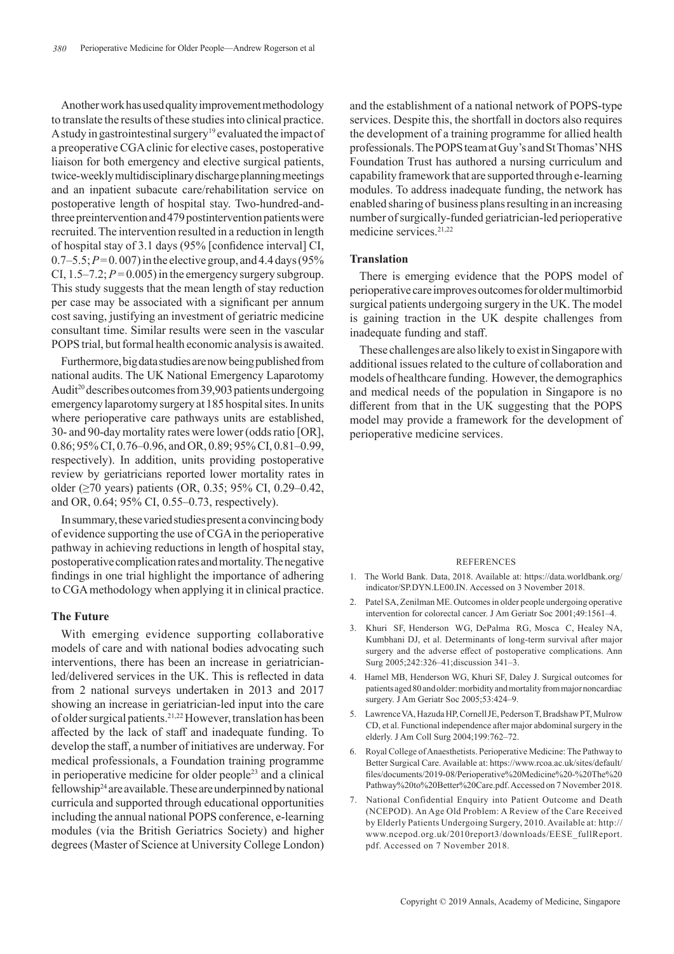Another work has used quality improvement methodology to translate the results of these studies into clinical practice. A study in gastrointestinal surgery<sup>19</sup> evaluated the impact of a preoperative CGA clinic for elective cases, postoperative liaison for both emergency and elective surgical patients, twice-weekly multidisciplinary discharge planning meetings and an inpatient subacute care/rehabilitation service on postoperative length of hospital stay. Two-hundred-andthree preintervention and 479 postintervention patients were recruited. The intervention resulted in a reduction in length of hospital stay of 3.1 days (95% [confidence interval] CI,  $0.7-5.5; P=0.007$  in the elective group, and 4.4 days (95%) CI,  $1.5-7.2$ ;  $P=0.005$ ) in the emergency surgery subgroup. This study suggests that the mean length of stay reduction per case may be associated with a significant per annum cost saving, justifying an investment of geriatric medicine consultant time. Similar results were seen in the vascular POPS trial, but formal health economic analysis is awaited.

Furthermore, big data studies are now being published from national audits. The UK National Emergency Laparotomy Audit<sup>20</sup> describes outcomes from 39,903 patients undergoing emergency laparotomy surgery at 185 hospital sites. In units where perioperative care pathways units are established, 30- and 90-day mortality rates were lower (odds ratio [OR], 0.86; 95% CI, 0.76–0.96, and OR, 0.89; 95% CI, 0.81–0.99, respectively). In addition, units providing postoperative review by geriatricians reported lower mortality rates in older (≥70 years) patients (OR, 0.35; 95% CI, 0.29–0.42, and OR, 0.64; 95% CI, 0.55–0.73, respectively).

In summary, these varied studies present a convincing body of evidence supporting the use of CGA in the perioperative pathway in achieving reductions in length of hospital stay, postoperative complication rates and mortality. The negative findings in one trial highlight the importance of adhering to CGA methodology when applying it in clinical practice.

## **The Future**

With emerging evidence supporting collaborative models of care and with national bodies advocating such interventions, there has been an increase in geriatricianled/delivered services in the UK. This is reflected in data from 2 national surveys undertaken in 2013 and 2017 showing an increase in geriatrician-led input into the care of older surgical patients.21,22 However, translation has been affected by the lack of staff and inadequate funding. To develop the staff, a number of initiatives are underway. For medical professionals, a Foundation training programme in perioperative medicine for older people23 and a clinical fellowship<sup>24</sup> are available. These are underpinned by national curricula and supported through educational opportunities including the annual national POPS conference, e-learning modules (via the British Geriatrics Society) and higher degrees (Master of Science at University College London)

and the establishment of a national network of POPS-type services. Despite this, the shortfall in doctors also requires the development of a training programme for allied health professionals. The POPS team at Guy's and St Thomas' NHS Foundation Trust has authored a nursing curriculum and capability framework that are supported through e-learning modules. To address inadequate funding, the network has enabled sharing of business plans resulting in an increasing number of surgically-funded geriatrician-led perioperative medicine services.21,22

#### **Translation**

There is emerging evidence that the POPS model of perioperative care improves outcomes for older multimorbid surgical patients undergoing surgery in the UK. The model is gaining traction in the UK despite challenges from inadequate funding and staff.

These challenges are also likely to exist in Singapore with additional issues related to the culture of collaboration and models of healthcare funding. However, the demographics and medical needs of the population in Singapore is no different from that in the UK suggesting that the POPS model may provide a framework for the development of perioperative medicine services.

#### **REFERENCES**

- 1. The World Bank. Data, 2018. Available at: https://data.worldbank.org/ indicator/SP.DYN.LE00.IN. Accessed on 3 November 2018.
- 2. Patel SA, Zenilman ME. Outcomes in older people undergoing operative intervention for colorectal cancer. J Am Geriatr Soc 2001;49:1561-4.
- 3. Khuri SF, Henderson WG, DePalma RG, Mosca C, Healey NA, Kumbhani DJ, et al. Determinants of long-term survival after major surgery and the adverse effect of postoperative complications. Ann Surg 2005;242:326‒41;discussion 341‒3.
- 4. Hamel MB, Henderson WG, Khuri SF, Daley J. Surgical outcomes for patients aged 80 and older: morbidity and mortality from major noncardiac surgery. J Am Geriatr Soc 2005;53:424‒9.
- 5. Lawrence VA, Hazuda HP, Cornell JE, Pederson T, Bradshaw PT, Mulrow CD, et al. Functional independence after major abdominal surgery in the elderly. J Am Coll Surg 2004;199:762-72.
- 6. Royal College of Anaesthetists. Perioperative Medicine: The Pathway to Better Surgical Care. Available at: https://www.rcoa.ac.uk/sites/default/ files/documents/2019-08/Perioperative%20Medicine%20-%20The%20 Pathway%20to%20Better%20Care.pdf. Accessed on 7 November 2018.
- 7. National Confidential Enquiry into Patient Outcome and Death (NCEPOD). An Age Old Problem: A Review of the Care Received by Elderly Patients Undergoing Surgery, 2010. Available at: http:// www.ncepod.org.uk/2010report3/downloads/EESE\_fullReport. pdf. Accessed on 7 November 2018.